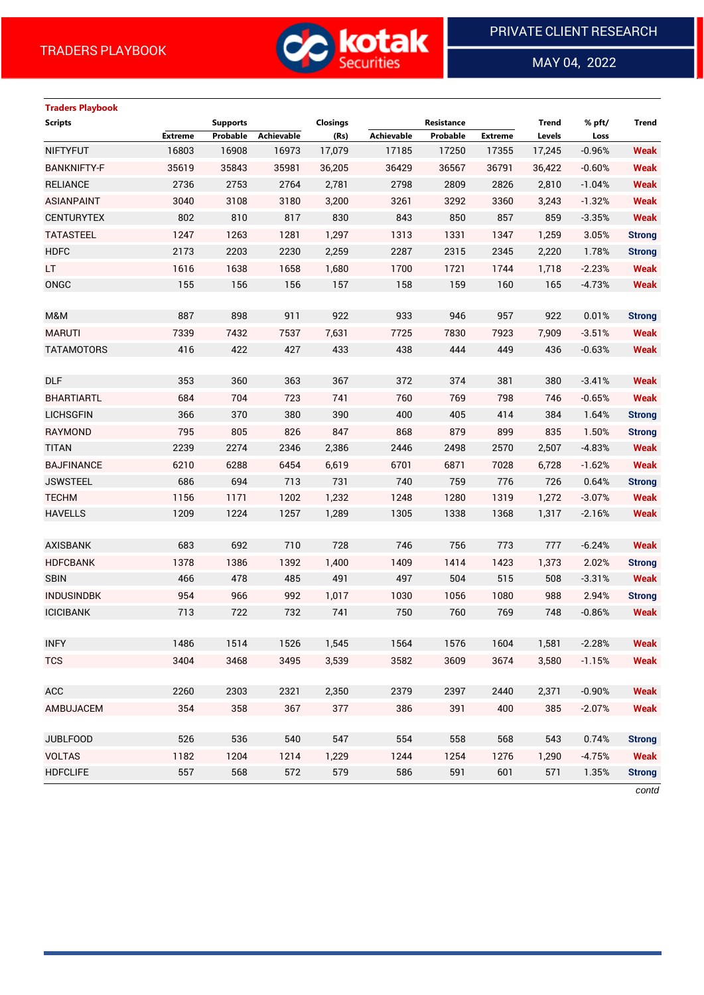

MAY 04, 2022

 $\overline{a}$ 

# **Traders Playbook Scripts Supports Closings Resistance Trend % pft/ Trend Extreme Probable Achievable (Rs) Achievable Probable Extreme Levels Loss** NIFTYFUT 16803 16908 16973 17,079 17185 17250 17355 17,245 -0.96% **Weak** BANKNIFTY-F 35619 35843 35981 36,205 36429 36567 36791 36,422 -0.60% **Weak** RELIANCE 2736 2753 2764 2,781 2798 2809 2826 2,810 -1.04% **Weak** ASIANPAINT 3040 3108 3180 3,200 3261 3292 3360 3,243 -1.32% **Weak** CENTURYTEX 802 810 817 830 843 850 857 859 -3.35% **Weak** TATASTEEL 1247 1263 1281 1,297 1313 1331 1347 1,259 3.05% **Strong** HDFC 2173 2203 2230 2,259 2287 2315 2345 2,220 1.78% **Strong** LT 1616 1638 1658 1,680 1700 1721 1744 1,718 -2.23% **Weak** ONGC 155 156 156 157 158 159 160 165 -4.73% **Weak** M&M 887 898 911 922 933 946 957 922 0.01% **Strong** MARUTI 7339 7432 7537 7,631 7725 7830 7923 7,909 -3.51% **Weak** TATAMOTORS 416 422 427 433 438 444 449 436 -0.63% **Weak** DLF 353 360 363 367 372 374 381 380 -3.41% **Weak** BHARTIARTL 684 704 723 741 760 769 798 746 -0.65% **Weak** LICHSGFIN 366 370 380 390 400 405 414 384 1.64% **Strong** RAYMOND 795 805 826 847 868 879 899 835 1.50% **Strong** TITAN 2239 2274 2346 2,386 2446 2498 2570 2,507 -4.83% **Weak** BAJFINANCE 6210 6288 6454 6,619 6701 6871 7028 6,728 -1.62% **Weak** JSWSTEEL 686 694 713 731 740 759 776 726 0.64% **Strong** TECHM 1156 1171 1202 1,232 1248 1280 1319 1,272 -3.07% **Weak** HAVELLS 1209 1224 1257 1,289 1305 1338 1368 1,317 -2.16% **Weak** AXISBANK 683 692 710 728 746 756 773 777 -6.24% **Weak** HDFCBANK 1378 1386 1392 1,400 1409 1414 1423 1,373 2.02% **Strong** SBIN 466 478 485 491 497 504 515 508 -3.31% **Weak** INDUSINDBK 954 966 992 1,017 1030 1056 1080 988 2.94% **Strong** ICICIBANK 713 722 732 741 750 760 769 748 -0.86% **Weak** INFY 1486 1514 1526 1,545 1564 1576 1604 1,581 -2.28% **Weak** TCS 3404 3468 3495 3,539 3582 3609 3674 3,580 -1.15% **Weak** ACC 2260 2303 2321 2,350 2379 2397 2440 2,371 -0.90% **Weak** AMBUJACEM 354 358 367 377 386 391 400 385 -2.07% **Weak** JUBLFOOD 526 536 540 547 554 558 568 543 0.74% **Strong** VOLTAS 1182 1204 1214 1,229 1244 1254 1276 1,290 -4.75% **Weak** HDFCLIFE 557 568 572 579 586 591 601 571 1.35% **Strong**

*contd*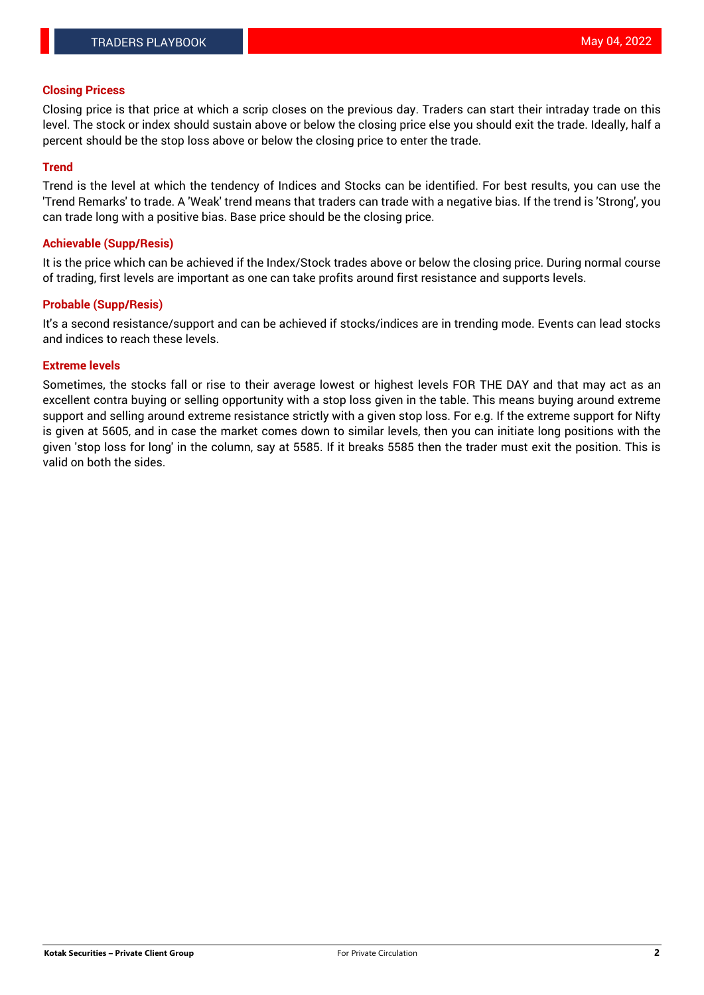### **Closing Pricess**

Closing price is that price at which a scrip closes on the previous day. Traders can start their intraday trade on this level. The stock or index should sustain above or below the closing price else you should exit the trade. Ideally, half a percent should be the stop loss above or below the closing price to enter the trade.

## **Trend**

Trend is the level at which the tendency of Indices and Stocks can be identified. For best results, you can use the 'Trend Remarks' to trade. A 'Weak' trend means that traders can trade with a negative bias. If the trend is 'Strong', you can trade long with a positive bias. Base price should be the closing price.

## **Achievable (Supp/Resis)**

It is the price which can be achieved if the Index/Stock trades above or below the closing price. During normal course of trading, first levels are important as one can take profits around first resistance and supports levels.

# **Probable (Supp/Resis)**

It's a second resistance/support and can be achieved if stocks/indices are in trending mode. Events can lead stocks and indices to reach these levels.

#### **Extreme levels**

Sometimes, the stocks fall or rise to their average lowest or highest levels FOR THE DAY and that may act as an excellent contra buying or selling opportunity with a stop loss given in the table. This means buying around extreme support and selling around extreme resistance strictly with a given stop loss. For e.g. If the extreme support for Nifty is given at 5605, and in case the market comes down to similar levels, then you can initiate long positions with the given 'stop loss for long' in the column, say at 5585. If it breaks 5585 then the trader must exit the position. This is valid on both the sides.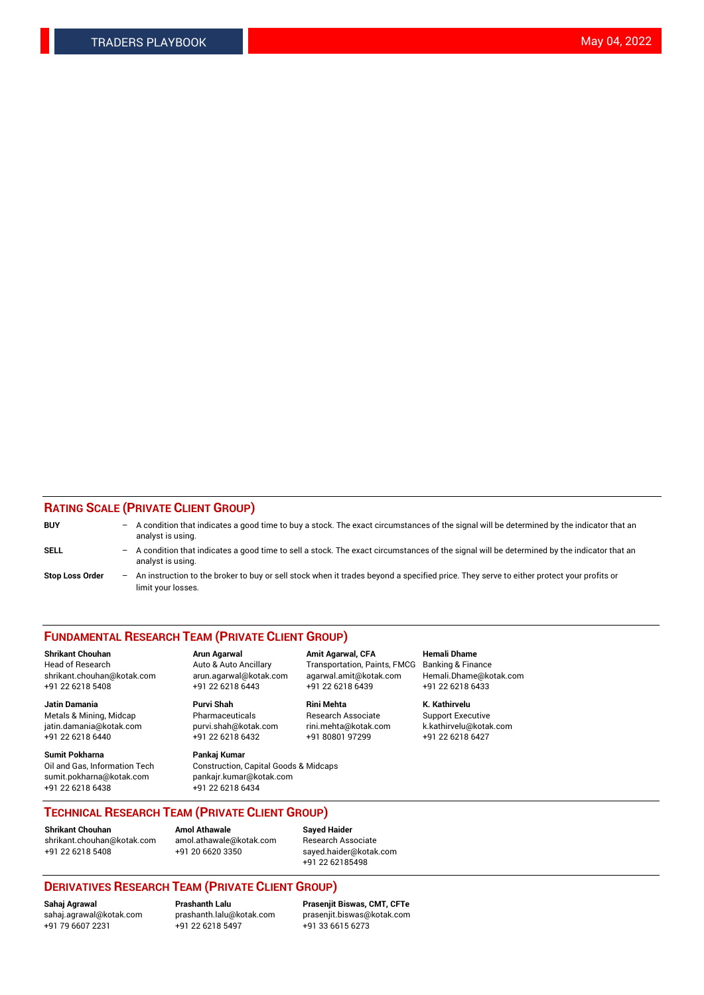# **RATING SCALE (PRIVATE CLIENT GROUP)**

| <b>BUY</b>             |     | $-$ A condition that indicates a good time to buy a stock. The exact circumstances of the signal will be determined by the indicator that an<br>analyst is using. |
|------------------------|-----|-------------------------------------------------------------------------------------------------------------------------------------------------------------------|
| SELL                   |     | - A condition that indicates a good time to sell a stock. The exact circumstances of the signal will be determined by the indicator that an<br>analyst is using.  |
| <b>Stop Loss Order</b> | $-$ | An instruction to the broker to buy or sell stock when it trades beyond a specified price. They serve to either protect your profits or<br>limit your losses.     |

#### **FUNDAMENTAL RESEARCH TEAM (PRIVATE CLIENT GROUP)**

**Shrikant Chouhan Arun Agarwal Amit Agarwal, CFA Hemali Dhame** Head of Research Auto & Auto Ancillary Transportation, Paints, FMCG Banking & Finance shrikant.chouhan@kotak.com arun.agarwal@kotak.com agarwal.amit@kotak.com Hemali.Dhame@kotak.com

**Jatin Damania Purvi Shah Rini Mehta K. Kathirvelu** Metals & Mining, Midcap **Pharmaceuticals** Research Associate Support Executive jatin.damania@kotak.com [purvi.shah@kotak.com](mailto:purvi.shah@kotak.com) rini.mehta@kotak.com [k.kathirvelu@kotak.com](mailto:k.kathirvelu@kotak.com)  $+91$  22 6218 6440  $+91$  22 6218 6432

**Sumit Pokharna Pankaj Kumar** sumit.pokharna@kotak.com pankajr.kumar@kotak.com +91 22 6218 6438 +91 22 6218 6434

Oil and Gas, Information Tech Construction, Capital Goods & Midcaps

+91 22 6218 5408 +91 22 6218 6443 +91 22 6218 6439 +91 22 6218 6433

**TECHNICAL RESEARCH TEAM (PRIVATE CLIENT GROUP)**

[shrikant.chouhan@kotak.com](mailto:shrikant.chouhan@kotak.com) [amol.athawale@kotak.com](mailto:amol.athawale@kotak.com) Research Associate +91 22 6218 5408 +91 20 6620 3350 [sayed.haider@kotak.com](mailto:sayed.haider@kotak.com)

**Shrikant Chouhan Amol Athawale Sayed Haider**

+91 22 62185498

# **DERIVATIVES RESEARCH TEAM (PRIVATE CLIENT GROUP)**

 $+91$  22 6218 5497

**Sahaj Agrawal Prashanth Lalu Prasenjit Biswas, CMT, CFTe** [sahaj.agrawal@kotak.com](mailto:sahaj.agrawal@kotak.com) [prashanth.lalu@kotak.com](mailto:prashanth.lalu@kotak.com) [prasenjit.biswas@kotak.com](mailto:prasenjit.biswas@kotak.com)